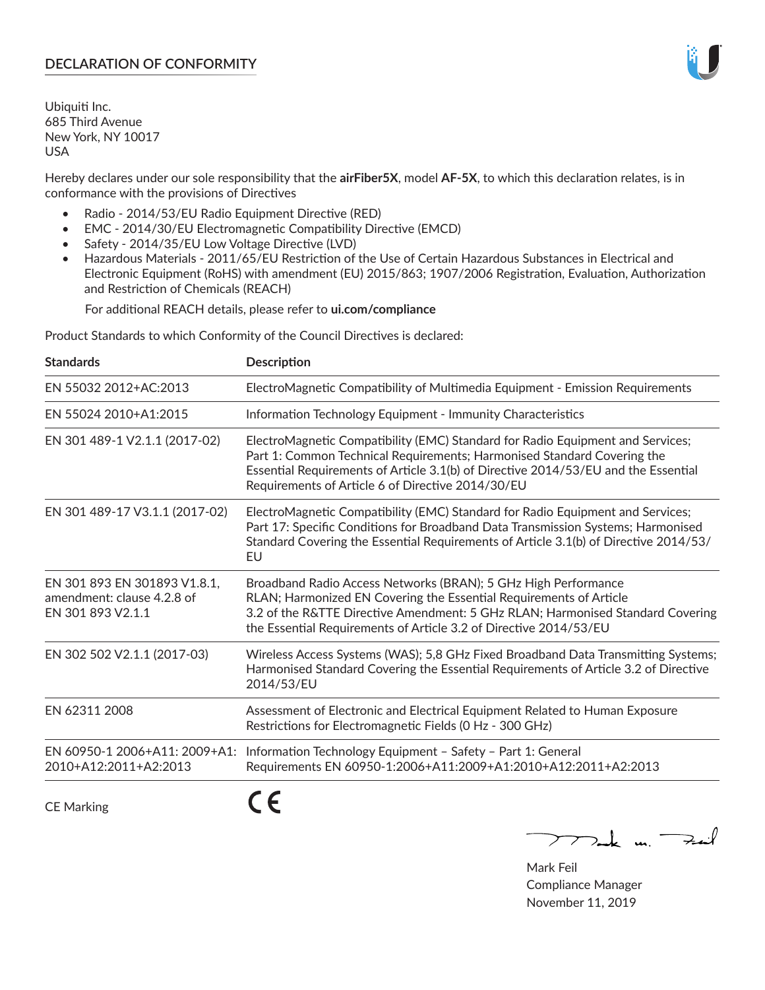## **DECLARATION OF CONFORMITY**

Ubiquiti Inc. 685 Third Avenue New York, NY 10017 USA

Hereby declares under our sole responsibility that the **airFiber5X**, model **AF-5X**, to which this declaration relates, is in conformance with the provisions of Directives

- Radio 2014/53/EU Radio Equipment Directive (RED)
- EMC 2014/30/EU Electromagnetic Compatibility Directive (EMCD)
- Safety 2014/35/EU Low Voltage Directive (LVD)
- Hazardous Materials 2011/65/EU Restriction of the Use of Certain Hazardous Substances in Electrical and Electronic Equipment (RoHS) with amendment (EU) 2015/863; 1907/2006 Registration, Evaluation, Authorization and Restriction of Chemicals (REACH)

For additional REACH details, please refer to **ui.com/compliance**

Product Standards to which Conformity of the Council Directives is declared:

| <b>Standards</b>                                                                | <b>Description</b>                                                                                                                                                                                                                                                                                   |
|---------------------------------------------------------------------------------|------------------------------------------------------------------------------------------------------------------------------------------------------------------------------------------------------------------------------------------------------------------------------------------------------|
| EN 55032 2012+AC:2013                                                           | ElectroMagnetic Compatibility of Multimedia Equipment - Emission Requirements                                                                                                                                                                                                                        |
| EN 55024 2010+A1:2015                                                           | Information Technology Equipment - Immunity Characteristics                                                                                                                                                                                                                                          |
| EN 301 489-1 V2.1.1 (2017-02)                                                   | ElectroMagnetic Compatibility (EMC) Standard for Radio Equipment and Services;<br>Part 1: Common Technical Requirements; Harmonised Standard Covering the<br>Essential Requirements of Article 3.1(b) of Directive 2014/53/EU and the Essential<br>Requirements of Article 6 of Directive 2014/30/EU |
| EN 301 489-17 V3.1.1 (2017-02)                                                  | ElectroMagnetic Compatibility (EMC) Standard for Radio Equipment and Services;<br>Part 17: Specific Conditions for Broadband Data Transmission Systems; Harmonised<br>Standard Covering the Essential Requirements of Article 3.1(b) of Directive 2014/53/<br>EU                                     |
| EN 301 893 EN 301893 V1.8.1,<br>amendment: clause 4.2.8 of<br>EN 301 893 V2.1.1 | Broadband Radio Access Networks (BRAN); 5 GHz High Performance<br>RLAN; Harmonized EN Covering the Essential Requirements of Article<br>3.2 of the R&TTE Directive Amendment: 5 GHz RLAN; Harmonised Standard Covering<br>the Essential Requirements of Article 3.2 of Directive 2014/53/EU          |
| EN 302 502 V2.1.1 (2017-03)                                                     | Wireless Access Systems (WAS); 5,8 GHz Fixed Broadband Data Transmitting Systems;<br>Harmonised Standard Covering the Essential Requirements of Article 3.2 of Directive<br>2014/53/EU                                                                                                               |
| EN 62311 2008                                                                   | Assessment of Electronic and Electrical Equipment Related to Human Exposure<br>Restrictions for Electromagnetic Fields (0 Hz - 300 GHz)                                                                                                                                                              |
| EN 60950-1 2006+A11: 2009+A1:<br>2010+A12:2011+A2:2013                          | Information Technology Equipment - Safety - Part 1: General<br>Requirements EN 60950-1:2006+A11:2009+A1:2010+A12:2011+A2:2013                                                                                                                                                                        |
| <b>CE Marking</b>                                                               |                                                                                                                                                                                                                                                                                                      |

 $772$ ak m. Fail

Mark Feil Compliance Manager November 11, 2019

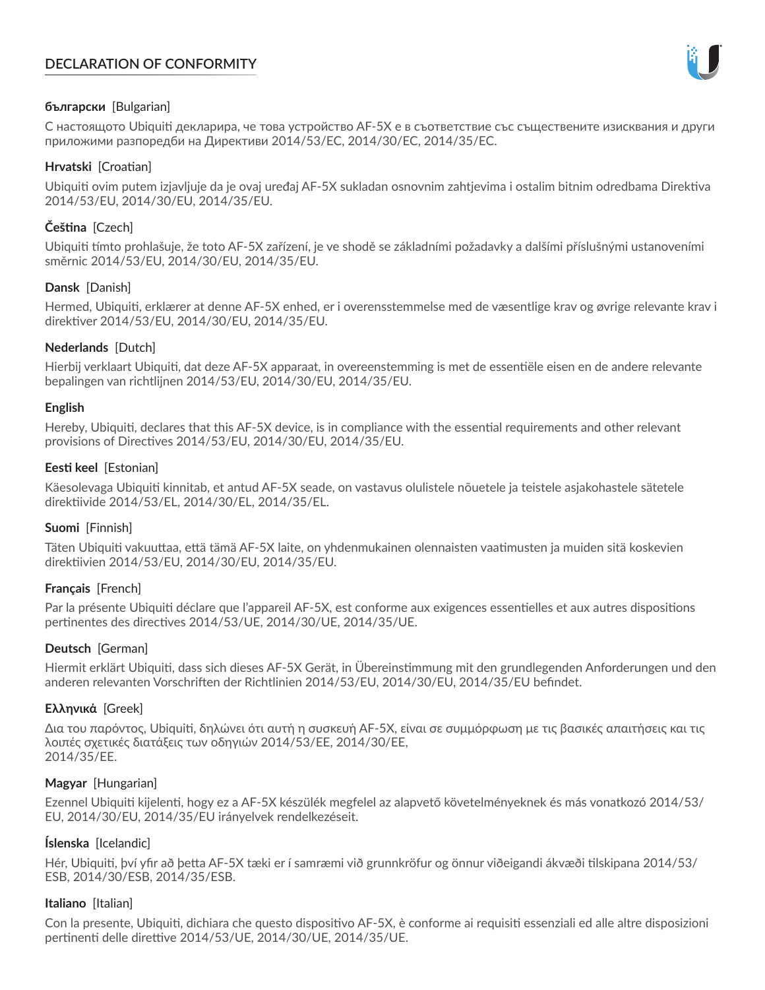# **DECLARATION OF CONFORMITY**



## **български** [Bulgarian]

С настоящото Ubiquiti декларира, че това устройство AF-5X е в съответствие със съществените изисквания и други приложими разпоредби на Директиви 2014/53/EC, 2014/30/ЕС, 2014/35/ЕС.

## **Hrvatski** [Croatian]

Ubiquiti ovim putem izjavljuje da je ovaj uređaj AF-5X sukladan osnovnim zahtjevima i ostalim bitnim odredbama Direktiva 2014/53/EU, 2014/30/EU, 2014/35/EU.

## **Čeština** [Czech]

Ubiquiti tímto prohlašuje, že toto AF-5X zařízení, je ve shodě se základními požadavky a dalšími příslušnými ustanoveními směrnic 2014/53/EU, 2014/30/EU, 2014/35/EU.

## **Dansk** [Danish]

Hermed, Ubiquiti, erklærer at denne AF-5X enhed, er i overensstemmelse med de væsentlige krav og øvrige relevante krav i direktiver 2014/53/EU, 2014/30/EU, 2014/35/EU.

## **Nederlands** [Dutch]

Hierbij verklaart Ubiquiti, dat deze AF-5X apparaat, in overeenstemming is met de essentiële eisen en de andere relevante bepalingen van richtlijnen 2014/53/EU, 2014/30/EU, 2014/35/EU.

## **English**

Hereby, Ubiquiti, declares that this AF-5X device, is in compliance with the essential requirements and other relevant provisions of Directives 2014/53/EU, 2014/30/EU, 2014/35/EU.

## **Eesti keel** [Estonian]

Käesolevaga Ubiquiti kinnitab, et antud AF-5X seade, on vastavus olulistele nõuetele ja teistele asjakohastele sätetele direktiivide 2014/53/EL, 2014/30/EL, 2014/35/EL.

## **Suomi** [Finnish]

Täten Ubiquiti vakuuttaa, että tämä AF-5X laite, on yhdenmukainen olennaisten vaatimusten ja muiden sitä koskevien direktiivien 2014/53/EU, 2014/30/EU, 2014/35/EU.

## **Français** [French]

Par la présente Ubiquiti déclare que l'appareil AF-5X, est conforme aux exigences essentielles et aux autres dispositions pertinentes des directives 2014/53/UE, 2014/30/UE, 2014/35/UE.

## **Deutsch** [German]

Hiermit erklärt Ubiquiti, dass sich dieses AF-5X Gerät, in Übereinstimmung mit den grundlegenden Anforderungen und den anderen relevanten Vorschriften der Richtlinien 2014/53/EU, 2014/30/EU, 2014/35/EU befindet.

## **Ελληνικά** [Greek]

Δια του παρόντος, Ubiquiti, δηλώνει ότι αυτή η συσκευή AF-5X, είναι σε συμμόρφωση με τις βασικές απαιτήσεις και τις λοιπές σχετικές διατάξεις των οδηγιών 2014/53/EE, 2014/30/EE, 2014/35/EE.

## **Magyar** [Hungarian]

Ezennel Ubiquiti kijelenti, hogy ez a AF-5X készülék megfelel az alapvető követelményeknek és más vonatkozó 2014/53/ EU, 2014/30/EU, 2014/35/EU irányelvek rendelkezéseit.

## **Íslenska** [Icelandic]

Hér, Ubiquiti, því yfir að þetta AF-5X tæki er í samræmi við grunnkröfur og önnur viðeigandi ákvæði tilskipana 2014/53/ ESB, 2014/30/ESB, 2014/35/ESB.

## **Italiano** [Italian]

Con la presente, Ubiquiti, dichiara che questo dispositivo AF-5X, è conforme ai requisiti essenziali ed alle altre disposizioni pertinenti delle direttive 2014/53/UE, 2014/30/UE, 2014/35/UE.